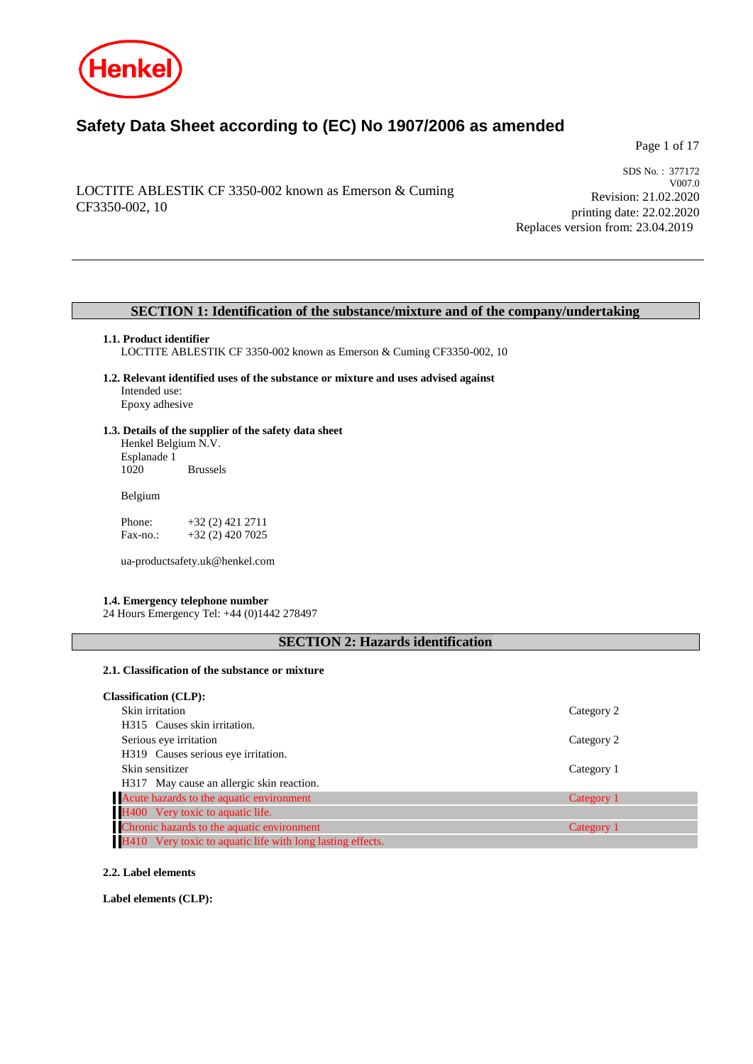

# **Safety Data Sheet according to (EC) No 1907/2006 as amended**

Page 1 of 17

# LOCTITE ABLESTIK CF 3350-002 known as Emerson & Cuming CF3350-002, 10

SDS No. : 377172 V007.0 Revision: 21.02.2020 printing date: 22.02.2020 Replaces version from: 23.04.2019

# **SECTION 1: Identification of the substance/mixture and of the company/undertaking**

## **1.1. Product identifier**

LOCTITE ABLESTIK CF 3350-002 known as Emerson & Cuming CF3350-002, 10

**1.2. Relevant identified uses of the substance or mixture and uses advised against** Intended use: Epoxy adhesive

# **1.3. Details of the supplier of the safety data sheet** Henkel Belgium N.V.

Esplanade 1 **Brussels** 

Belgium

Phone: +32 (2) 421 2711<br>Fax-no.: +32 (2) 420 7025 +32 (2) 420 7025

ua-productsafety.uk@henkel.com

## **1.4. Emergency telephone number**

24 Hours Emergency Tel: +44 (0)1442 278497

# **SECTION 2: Hazards identification**

# **2.1. Classification of the substance or mixture**

| <b>Classification (CLP):</b>                               |            |
|------------------------------------------------------------|------------|
| Skin irritation                                            | Category 2 |
| H315 Causes skin irritation.                               |            |
| Serious eye irritation                                     | Category 2 |
| H319 Causes serious eye irritation.                        |            |
| Skin sensitizer                                            | Category 1 |
| H317 May cause an allergic skin reaction.                  |            |
| Acute hazards to the aquatic environment                   | Category 1 |
| H400 Very toxic to aquatic life.                           |            |
| Chronic hazards to the aquatic environment                 | Category 1 |
| H410 Very toxic to aquatic life with long lasting effects. |            |

#### **2.2. Label elements**

**Label elements (CLP):**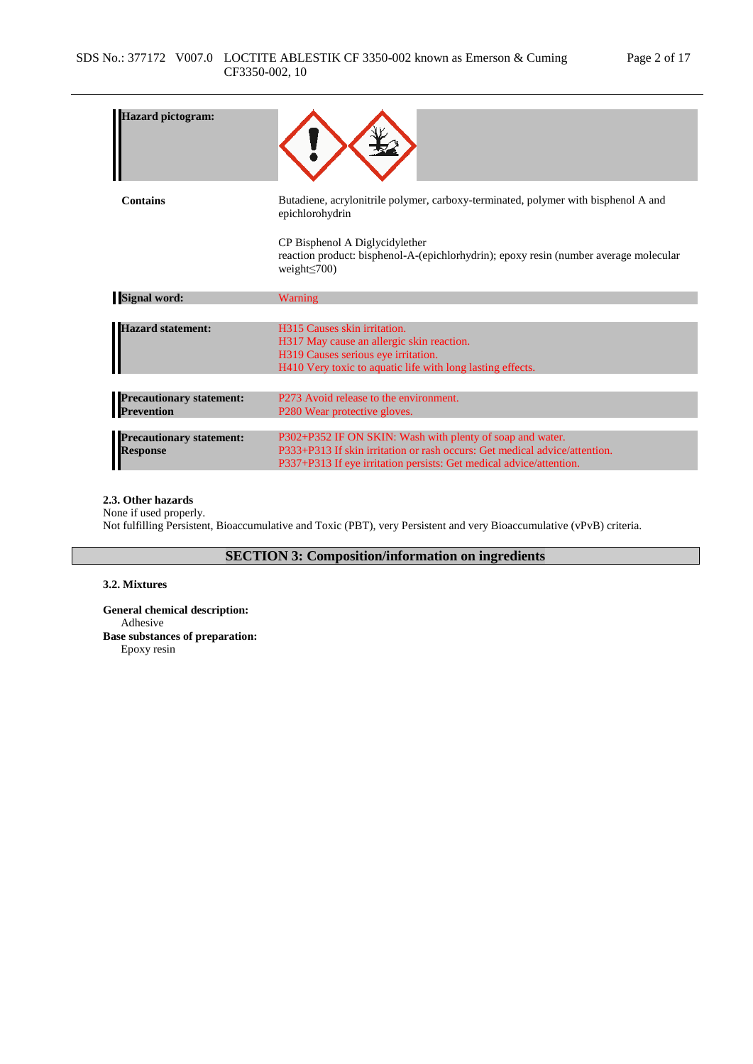| Hazard pictogram:                                    |                                                                                                                                                                                                                                                        |
|------------------------------------------------------|--------------------------------------------------------------------------------------------------------------------------------------------------------------------------------------------------------------------------------------------------------|
| Contains                                             | Butadiene, acrylonitrile polymer, carboxy-terminated, polymer with bisphenol A and<br>epichlorohydrin<br>CP Bisphenol A Diglycidylether<br>reaction product: bisphenol-A-(epichlorhydrin); epoxy resin (number average molecular<br>weight $\leq$ 700) |
| <b>Signal word:</b>                                  | Warning                                                                                                                                                                                                                                                |
| <b>Hazard statement:</b>                             | H315 Causes skin irritation.<br>H317 May cause an allergic skin reaction.<br>H319 Causes serious eye irritation.<br>H410 Very toxic to aquatic life with long lasting effects.                                                                         |
| <b>Precautionary statement:</b><br><b>Prevention</b> | P273 Avoid release to the environment.<br>P <sub>280</sub> Wear protective gloves.                                                                                                                                                                     |
| <b>Precautionary statement:</b><br><b>Response</b>   | P302+P352 IF ON SKIN: Wash with plenty of soap and water.<br>P333+P313 If skin irritation or rash occurs: Get medical advice/attention.<br>P337+P313 If eye irritation persists: Get medical advice/attention.                                         |

### **2.3. Other hazards**

None if used properly. Not fulfilling Persistent, Bioaccumulative and Toxic (PBT), very Persistent and very Bioaccumulative (vPvB) criteria.

**SECTION 3: Composition/information on ingredients**

#### **3.2. Mixtures**

**General chemical description:** Adhesive **Base substances of preparation:** Epoxy resin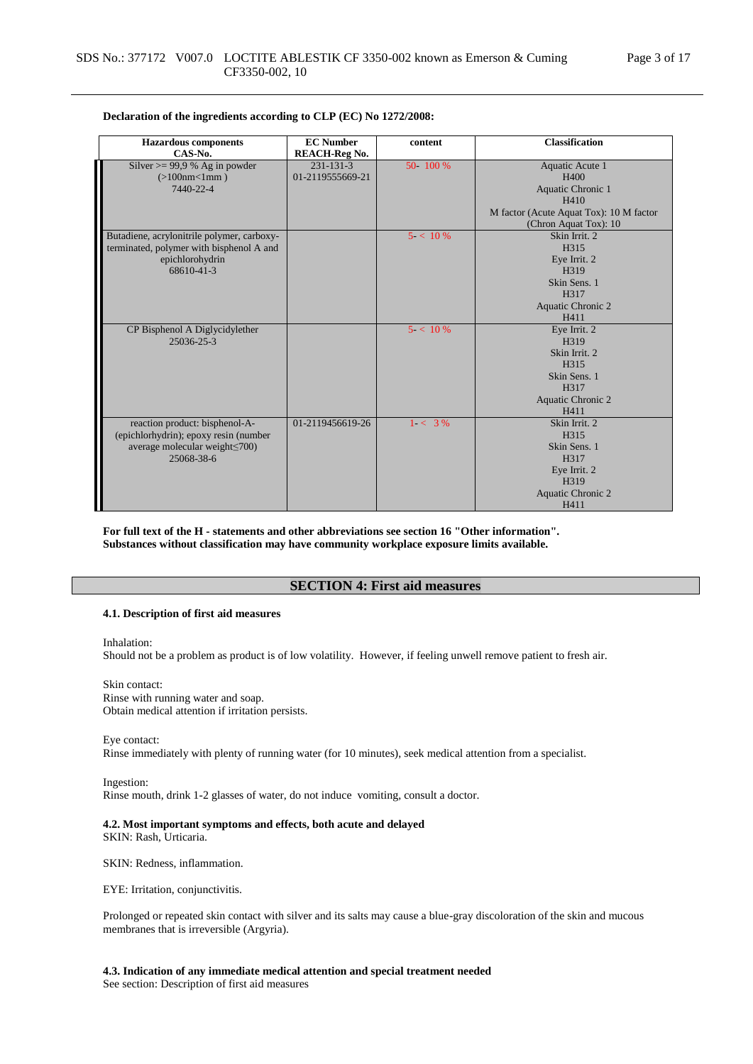| <b>Hazardous</b> components<br>CAS-No.                                                                                            | <b>EC Number</b><br><b>REACH-Reg No.</b> | content    | <b>Classification</b>                                                                                                    |
|-----------------------------------------------------------------------------------------------------------------------------------|------------------------------------------|------------|--------------------------------------------------------------------------------------------------------------------------|
| Silver $> = 99.9$ % Ag in powder<br>(>100nm<1mm)<br>7440-22-4                                                                     | $231 - 131 - 3$<br>01-2119555669-21      | 50 - 100 % | Aquatic Acute 1<br>H400<br>Aquatic Chronic 1<br>H410<br>M factor (Acute Aquat Tox): 10 M factor<br>(Chron Aquat Tox): 10 |
| Butadiene, acrylonitrile polymer, carboxy-<br>terminated, polymer with bisphenol A and<br>epichlorohydrin<br>68610-41-3           |                                          | $5 < 10\%$ | Skin Irrit. 2<br>H315<br>Eye Irrit. 2<br>H319<br>Skin Sens. 1<br>H317<br>Aquatic Chronic 2<br>H411                       |
| CP Bisphenol A Diglycidylether<br>25036-25-3                                                                                      |                                          | $5 < 10\%$ | Eye Irrit. 2<br>H319<br>Skin Irrit. 2<br>H315<br>Skin Sens. 1<br>H317<br>Aquatic Chronic 2<br>H411                       |
| reaction product: bisphenol-A-<br>(epichlorhydrin); epoxy resin (number<br>average molecular weight <a>&gt;</a> 00)<br>25068-38-6 | 01-2119456619-26                         | $1 - 3\%$  | Skin Irrit. 2<br>H315<br>Skin Sens. 1<br>H317<br>Eye Irrit. 2<br>H319<br>Aquatic Chronic 2<br>H411                       |

#### **Declaration of the ingredients according to CLP (EC) No 1272/2008:**

**For full text of the H - statements and other abbreviations see section 16 "Other information". Substances without classification may have community workplace exposure limits available.**

# **SECTION 4: First aid measures**

### **4.1. Description of first aid measures**

Inhalation:

Should not be a problem as product is of low volatility. However, if feeling unwell remove patient to fresh air.

Skin contact: Rinse with running water and soap. Obtain medical attention if irritation persists.

Eye contact:

Rinse immediately with plenty of running water (for 10 minutes), seek medical attention from a specialist.

Ingestion: Rinse mouth, drink 1-2 glasses of water, do not induce vomiting, consult a doctor.

#### **4.2. Most important symptoms and effects, both acute and delayed**

SKIN: Rash, Urticaria.

SKIN: Redness, inflammation.

EYE: Irritation, conjunctivitis.

Prolonged or repeated skin contact with silver and its salts may cause a blue-gray discoloration of the skin and mucous membranes that is irreversible (Argyria).

**4.3. Indication of any immediate medical attention and special treatment needed** See section: Description of first aid measures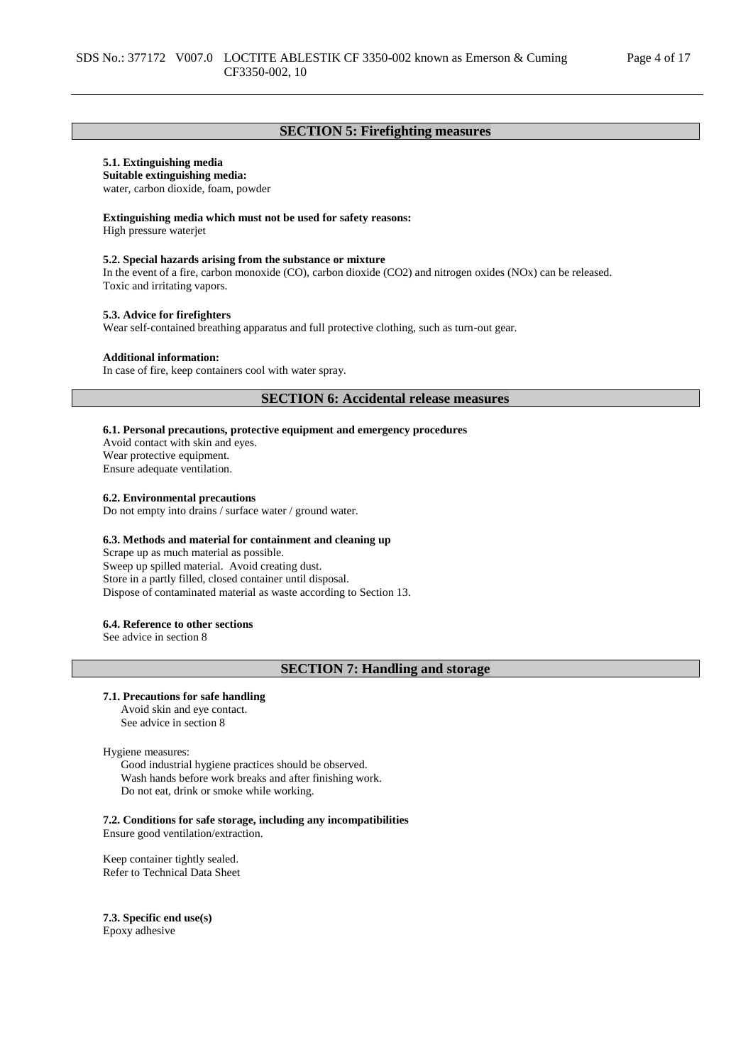# **SECTION 5: Firefighting measures**

#### **5.1. Extinguishing media**

**Suitable extinguishing media:** water, carbon dioxide, foam, powder

#### **Extinguishing media which must not be used for safety reasons:**

High pressure waterjet

#### **5.2. Special hazards arising from the substance or mixture**

In the event of a fire, carbon monoxide (CO), carbon dioxide (CO2) and nitrogen oxides (NOx) can be released. Toxic and irritating vapors.

#### **5.3. Advice for firefighters**

Wear self-contained breathing apparatus and full protective clothing, such as turn-out gear.

#### **Additional information:**

In case of fire, keep containers cool with water spray.

#### **SECTION 6: Accidental release measures**

**6.1. Personal precautions, protective equipment and emergency procedures** Avoid contact with skin and eyes. Wear protective equipment. Ensure adequate ventilation.

#### **6.2. Environmental precautions**

Do not empty into drains / surface water / ground water.

#### **6.3. Methods and material for containment and cleaning up**

Scrape up as much material as possible. Sweep up spilled material. Avoid creating dust. Store in a partly filled, closed container until disposal. Dispose of contaminated material as waste according to Section 13.

#### **6.4. Reference to other sections**

See advice in section 8

## **SECTION 7: Handling and storage**

#### **7.1. Precautions for safe handling**

Avoid skin and eye contact. See advice in section 8

Hygiene measures:

Good industrial hygiene practices should be observed. Wash hands before work breaks and after finishing work. Do not eat, drink or smoke while working.

# **7.2. Conditions for safe storage, including any incompatibilities**

Ensure good ventilation/extraction.

Keep container tightly sealed. Refer to Technical Data Sheet

**7.3. Specific end use(s)** Epoxy adhesive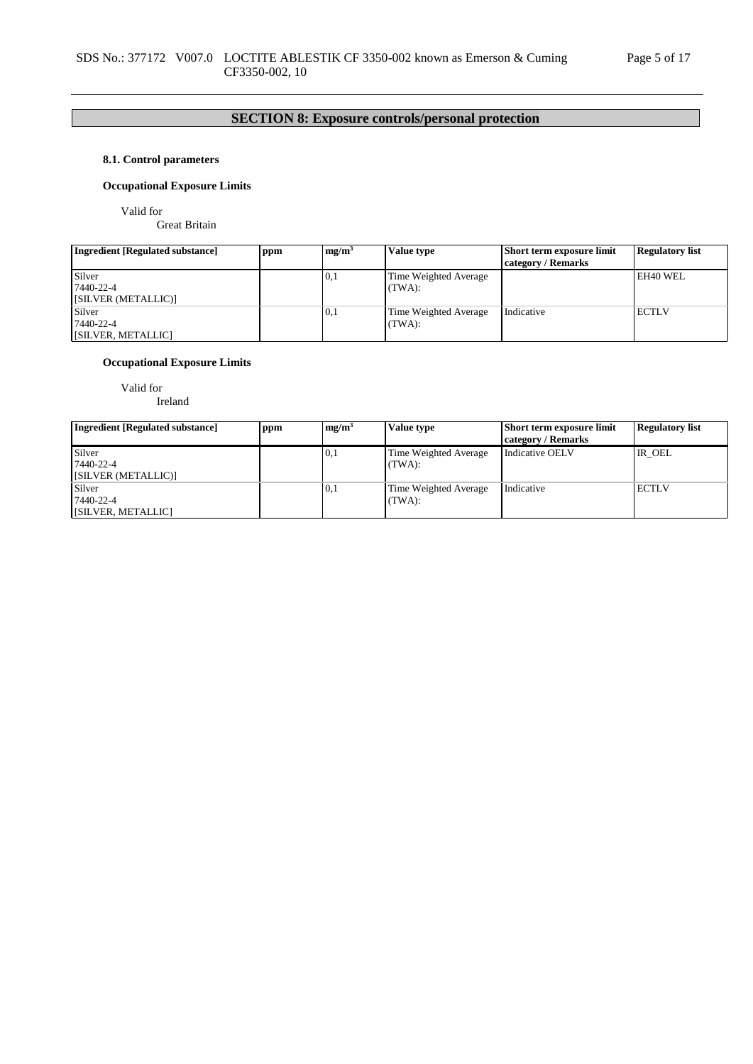# **SECTION 8: Exposure controls/personal protection**

# **8.1. Control parameters**

# **Occupational Exposure Limits**

Valid for

Great Britain

| <b>Ingredient [Regulated substance]</b>    | ppm | mg/m <sup>3</sup> | <b>Value type</b>               | <b>Short term exposure limit</b><br>category / Remarks | <b>Regulatory list</b> |
|--------------------------------------------|-----|-------------------|---------------------------------|--------------------------------------------------------|------------------------|
| Silver<br>7440-22-4<br>[SILVER (METALLIC)] |     | 0,1               | Time Weighted Average<br>(TWA): |                                                        | EH40 WEL               |
| Silver<br>7440-22-4<br>[SILVER, METALLIC]  |     | 0,1               | Time Weighted Average<br>(TWA): | Indicative                                             | <b>ECTLV</b>           |

# **Occupational Exposure Limits**

Valid for Ireland

| <b>Ingredient [Regulated substance]</b>    | ppm | me/m <sup>3</sup> | Value type                      | <b>Short term exposure limit</b><br>category / Remarks | <b>Regulatory list</b> |
|--------------------------------------------|-----|-------------------|---------------------------------|--------------------------------------------------------|------------------------|
| Silver<br>7440-22-4<br>[SILVER (METALLIC)] |     | 0,1               | Time Weighted Average<br>(TWA): | Indicative OELV                                        | IR OEL                 |
| Silver<br>7440-22-4<br>[SILVER, METALLIC]  |     | 0,1               | Time Weighted Average<br>(TWA): | Indicative                                             | <b>ECTLV</b>           |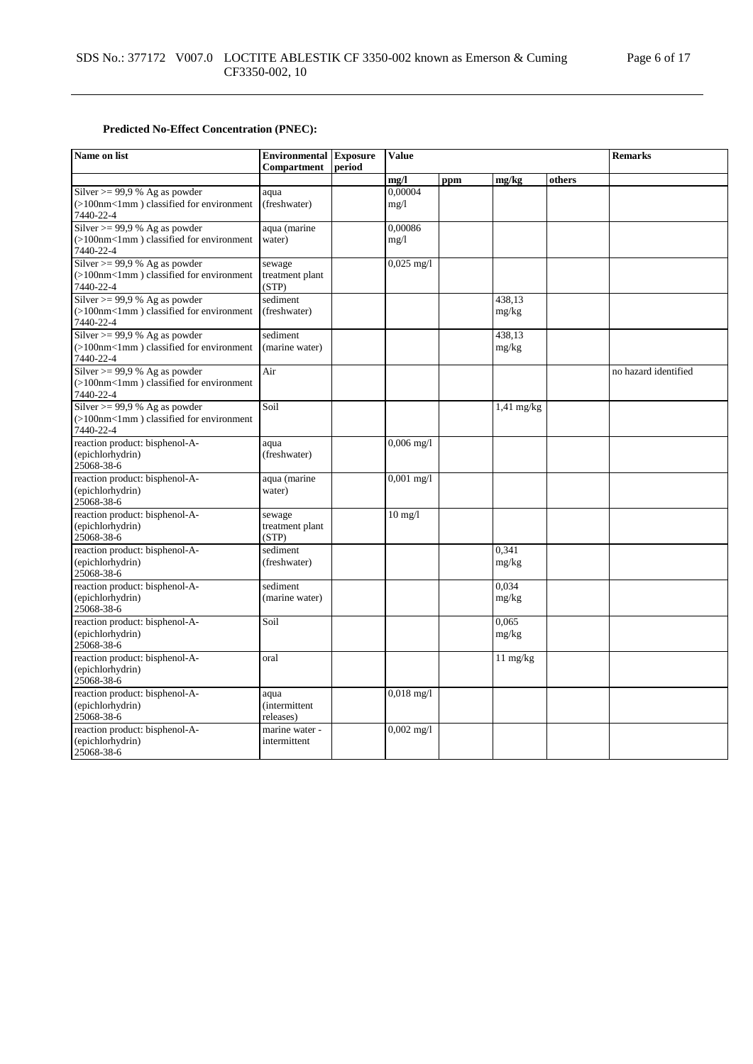# **Predicted No-Effect Concentration (PNEC):**

| Name on list                                           | <b>Environmental Exposure</b><br>Compartment | period | <b>Value</b>         |     |                    |        | <b>Remarks</b>       |
|--------------------------------------------------------|----------------------------------------------|--------|----------------------|-----|--------------------|--------|----------------------|
|                                                        |                                              |        | mg/l                 | ppm | mg/kg              | others |                      |
| Silver $>= 99.9 %$ Ag as powder                        | aqua                                         |        | 0,00004              |     |                    |        |                      |
| $(>100nm<1mm)$ classified for environment<br>7440-22-4 | (freshwater)                                 |        | mg/1                 |     |                    |        |                      |
| Silver $>= 99.9 %$ Ag as powder                        | aqua (marine                                 |        | 0,00086              |     |                    |        |                      |
| (>100nm<1mm) classified for environment<br>7440-22-4   | water)                                       |        | mg/1                 |     |                    |        |                      |
| Silver $>= 99.9 %$ Ag as powder                        | sewage                                       |        | $0,025 \text{ mg}/1$ |     |                    |        |                      |
| (>100nm<1mm) classified for environment<br>7440-22-4   | treatment plant<br>(STP)                     |        |                      |     |                    |        |                      |
| Silver $>= 99.9 %$ Ag as powder                        | sediment                                     |        |                      |     | 438.13             |        |                      |
| (>100nm<1mm) classified for environment<br>7440-22-4   | (freshwater)                                 |        |                      |     | mg/kg              |        |                      |
| Silver $>= 99.9 %$ Ag as powder                        | sediment                                     |        |                      |     | 438,13             |        |                      |
| (>100nm<1mm) classified for environment<br>7440-22-4   | (marine water)                               |        |                      |     | mg/kg              |        |                      |
| Silver $>= 99.9 %$ Ag as powder                        | Air                                          |        |                      |     |                    |        | no hazard identified |
| (>100nm<1mm) classified for environment<br>7440-22-4   |                                              |        |                      |     |                    |        |                      |
| Silver $>= 99.9 %$ Ag as powder                        | Soil                                         |        |                      |     | $1,41$ mg/kg       |        |                      |
| (>100nm<1mm) classified for environment<br>7440-22-4   |                                              |        |                      |     |                    |        |                      |
| reaction product: bisphenol-A-                         | aqua                                         |        | $0,006$ mg/l         |     |                    |        |                      |
| (epichlorhydrin)<br>25068-38-6                         | (freshwater)                                 |        |                      |     |                    |        |                      |
| reaction product: bisphenol-A-                         | aqua (marine                                 |        | $0,001$ mg/l         |     |                    |        |                      |
| (epichlorhydrin)<br>25068-38-6                         | water)                                       |        |                      |     |                    |        |                      |
| reaction product: bisphenol-A-                         | sewage                                       |        | $10 \text{ mg}/l$    |     |                    |        |                      |
| (epichlorhydrin)<br>25068-38-6                         | treatment plant<br>(STP)                     |        |                      |     |                    |        |                      |
| reaction product: bisphenol-A-                         | sediment                                     |        |                      |     | 0.341              |        |                      |
| (epichlorhydrin)<br>25068-38-6                         | (freshwater)                                 |        |                      |     | mg/kg              |        |                      |
| reaction product: bisphenol-A-                         | sediment                                     |        |                      |     | 0.034              |        |                      |
| (epichlorhydrin)<br>25068-38-6                         | (marine water)                               |        |                      |     | mg/kg              |        |                      |
| reaction product: bisphenol-A-                         | Soil                                         |        |                      |     | 0.065              |        |                      |
| (epichlorhydrin)<br>25068-38-6                         |                                              |        |                      |     | mg/kg              |        |                      |
| reaction product: bisphenol-A-                         | oral                                         |        |                      |     | $11 \text{ mg/kg}$ |        |                      |
| (epichlorhydrin)<br>25068-38-6                         |                                              |        |                      |     |                    |        |                      |
| reaction product: bisphenol-A-                         | aqua                                         |        | $0,018$ mg/l         |     |                    |        |                      |
| (epichlorhydrin)                                       | <i>(intermittent)</i>                        |        |                      |     |                    |        |                      |
| 25068-38-6                                             | releases)                                    |        |                      |     |                    |        |                      |
| reaction product: bisphenol-A-<br>(epichlorhydrin)     | marine water -<br>intermittent               |        | $0,002$ mg/l         |     |                    |        |                      |
| 25068-38-6                                             |                                              |        |                      |     |                    |        |                      |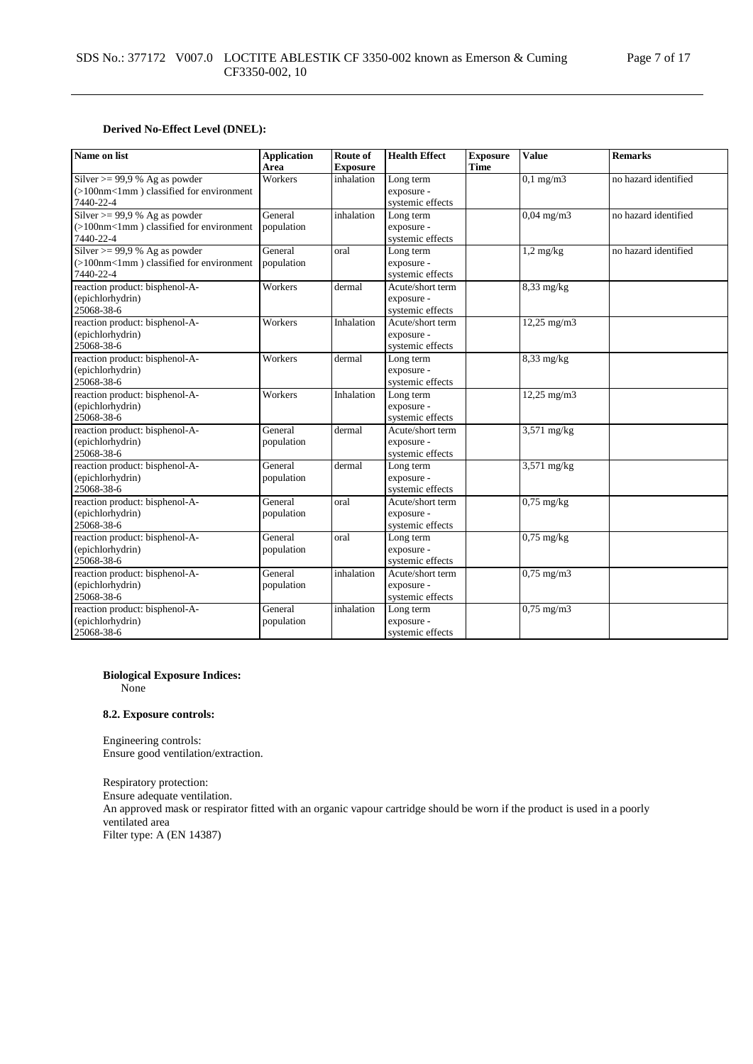## **Derived No-Effect Level (DNEL):**

| Name on list                                                                              | <b>Application</b>    | Route of                      | <b>Health Effect</b>                               | <b>Exposure</b><br><b>Time</b> | <b>Value</b>            | <b>Remarks</b>       |
|-------------------------------------------------------------------------------------------|-----------------------|-------------------------------|----------------------------------------------------|--------------------------------|-------------------------|----------------------|
| Silver $>= 99.9 %$ Ag as powder<br>(>100nm<1mm) classified for environment                | Area<br>Workers       | <b>Exposure</b><br>inhalation | Long term<br>exposure -                            |                                | $0,1$ mg/m $3$          | no hazard identified |
| 7440-22-4                                                                                 |                       |                               | systemic effects                                   |                                |                         |                      |
| Silver >= $99.9%$ Ag as powder<br>(>100nm<1mm) classified for environment<br>7440-22-4    | General<br>population | inhalation                    | Long term<br>exposure -<br>systemic effects        |                                | $0,04 \text{ mg/m}$ 3   | no hazard identified |
| Silver $>= 99.9 %$ Ag as powder<br>$(>100nm<1mm)$ classified for environment<br>7440-22-4 | General<br>population | oral                          | Long term<br>exposure -<br>systemic effects        |                                | $1,2$ mg/kg             | no hazard identified |
| reaction product: bisphenol-A-<br>(epichlorhydrin)<br>25068-38-6                          | Workers               | dermal                        | Acute/short term<br>exposure -<br>systemic effects |                                | $8,33$ mg/kg            |                      |
| reaction product: bisphenol-A-<br>(epichlorhydrin)<br>25068-38-6                          | Workers               | Inhalation                    | Acute/short term<br>exposure -<br>systemic effects |                                | $12,25 \text{ mg/m}$ 3  |                      |
| reaction product: bisphenol-A-<br>(epichlorhydrin)<br>25068-38-6                          | Workers               | dermal                        | Long term<br>exposure -<br>systemic effects        |                                | $8,33$ mg/kg            |                      |
| reaction product: bisphenol-A-<br>(epichlorhydrin)<br>25068-38-6                          | Workers               | Inhalation                    | Long term<br>exposure -<br>systemic effects        |                                | 12,25 mg/m3             |                      |
| reaction product: bisphenol-A-<br>(epichlorhydrin)<br>25068-38-6                          | General<br>population | dermal                        | Acute/short term<br>exposure -<br>systemic effects |                                | $3,571$ mg/kg           |                      |
| reaction product: bisphenol-A-<br>(epichlorhydrin)<br>25068-38-6                          | General<br>population | dermal                        | Long term<br>exposure -<br>systemic effects        |                                | $\frac{3,571}{2}$ mg/kg |                      |
| reaction product: bisphenol-A-<br>(epichlorhydrin)<br>25068-38-6                          | General<br>population | oral                          | Acute/short term<br>exposure -<br>systemic effects |                                | $0,75$ mg/kg            |                      |
| reaction product: bisphenol-A-<br>(epichlorhydrin)<br>25068-38-6                          | General<br>population | oral                          | Long term<br>exposure -<br>systemic effects        |                                | $0.75$ mg/kg            |                      |
| reaction product: bisphenol-A-<br>(epichlorhydrin)<br>25068-38-6                          | General<br>population | inhalation                    | Acute/short term<br>exposure -<br>systemic effects |                                | $0,75$ mg/m $3$         |                      |
| reaction product: bisphenol-A-<br>(epichlorhydrin)<br>25068-38-6                          | General<br>population | inhalation                    | Long term<br>exposure -<br>systemic effects        |                                | $0,75 \text{ mg/m}$ 3   |                      |

## **Biological Exposure Indices:**

None

## **8.2. Exposure controls:**

Engineering controls: Ensure good ventilation/extraction.

Respiratory protection: Ensure adequate ventilation. An approved mask or respirator fitted with an organic vapour cartridge should be worn if the product is used in a poorly ventilated area Filter type: A (EN 14387)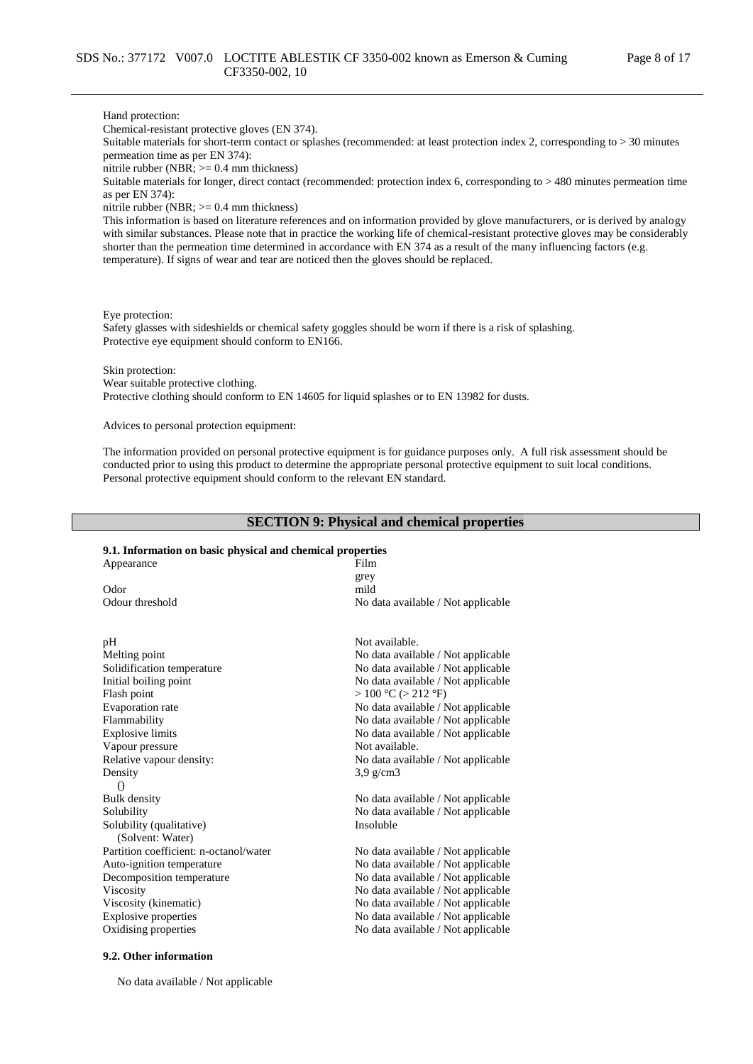#### Hand protection:

Chemical-resistant protective gloves (EN 374).

Suitable materials for short-term contact or splashes (recommended: at least protection index 2, corresponding to > 30 minutes permeation time as per EN 374):

nitrile rubber (NBR; >= 0.4 mm thickness)

Suitable materials for longer, direct contact (recommended: protection index 6, corresponding to > 480 minutes permeation time as per EN 374):

nitrile rubber (NBR; >= 0.4 mm thickness)

This information is based on literature references and on information provided by glove manufacturers, or is derived by analogy with similar substances. Please note that in practice the working life of chemical-resistant protective gloves may be considerably shorter than the permeation time determined in accordance with EN 374 as a result of the many influencing factors (e.g. temperature). If signs of wear and tear are noticed then the gloves should be replaced.

Eye protection:

Safety glasses with sideshields or chemical safety goggles should be worn if there is a risk of splashing. Protective eye equipment should conform to EN166.

Skin protection:

Wear suitable protective clothing. Protective clothing should conform to EN 14605 for liquid splashes or to EN 13982 for dusts.

Advices to personal protection equipment:

The information provided on personal protective equipment is for guidance purposes only. A full risk assessment should be conducted prior to using this product to determine the appropriate personal protective equipment to suit local conditions. Personal protective equipment should conform to the relevant EN standard.

## **SECTION 9: Physical and chemical properties**

#### **9.1. Information on basic physical and chemical properties**

| Appearance                                   | Film                                                     |
|----------------------------------------------|----------------------------------------------------------|
|                                              | grey                                                     |
| Odor                                         | mild                                                     |
| Odour threshold                              | No data available / Not applicable                       |
| pH                                           | Not available.                                           |
| Melting point                                | No data available / Not applicable                       |
| Solidification temperature                   | No data available / Not applicable                       |
| Initial boiling point<br>Flash point         | No data available / Not applicable<br>>100 °C (> 212 °F) |
| <b>Evaporation</b> rate                      | No data available / Not applicable                       |
| Flammability                                 | No data available / Not applicable                       |
| <b>Explosive limits</b>                      | No data available / Not applicable                       |
| Vapour pressure                              | Not available.                                           |
| Relative vapour density:                     | No data available / Not applicable                       |
| Density                                      | $3.9$ g/cm $3$                                           |
| $\bigcirc$                                   |                                                          |
| <b>Bulk</b> density                          | No data available / Not applicable                       |
| Solubility                                   | No data available / Not applicable                       |
| Solubility (qualitative)<br>(Solvent: Water) | Insoluble                                                |
| Partition coefficient: n-octanol/water       | No data available / Not applicable                       |
| Auto-ignition temperature                    | No data available / Not applicable                       |
| Decomposition temperature                    | No data available / Not applicable                       |
| Viscosity                                    | No data available / Not applicable                       |
| Viscosity (kinematic)                        | No data available / Not applicable                       |
| <b>Explosive properties</b>                  | No data available / Not applicable                       |
| Oxidising properties                         | No data available / Not applicable                       |
|                                              |                                                          |

#### **9.2. Other information**

No data available / Not applicable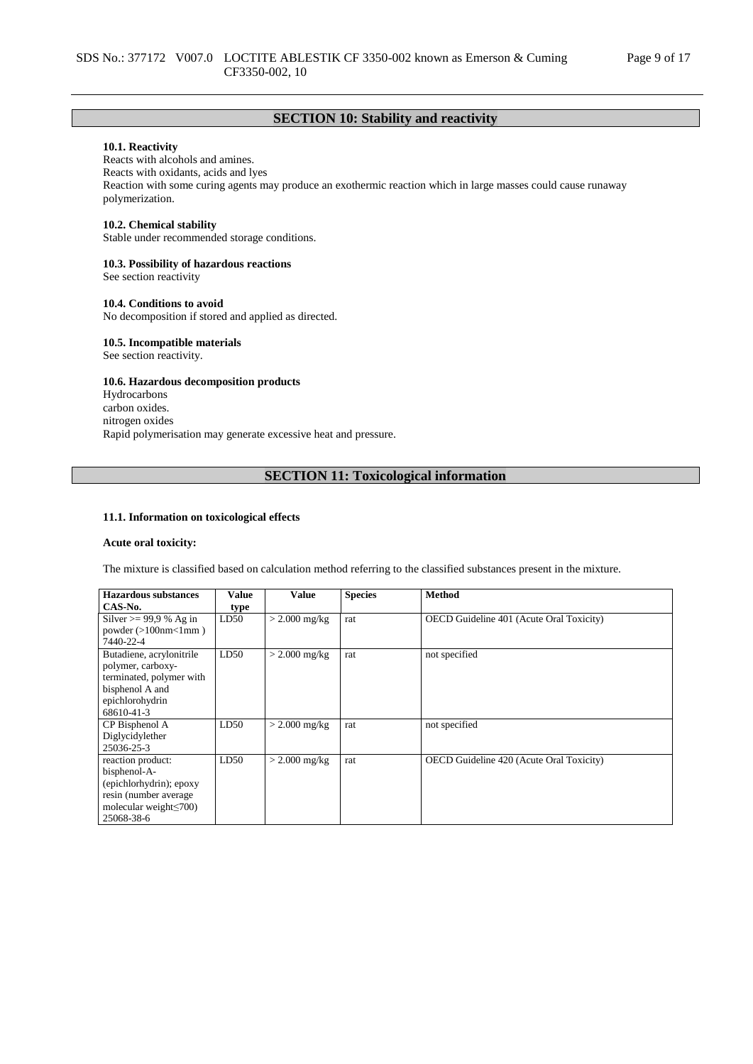# **SECTION 10: Stability and reactivity**

#### **10.1. Reactivity**

Reacts with alcohols and amines. Reacts with oxidants, acids and lyes Reaction with some curing agents may produce an exothermic reaction which in large masses could cause runaway polymerization.

#### **10.2. Chemical stability**

Stable under recommended storage conditions.

# **10.3. Possibility of hazardous reactions**

See section reactivity

## **10.4. Conditions to avoid**

No decomposition if stored and applied as directed.

#### **10.5. Incompatible materials**

See section reactivity.

#### **10.6. Hazardous decomposition products**

Hydrocarbons carbon oxides. nitrogen oxides Rapid polymerisation may generate excessive heat and pressure.

# **SECTION 11: Toxicological information**

#### **11.1. Information on toxicological effects**

#### **Acute oral toxicity:**

The mixture is classified based on calculation method referring to the classified substances present in the mixture.

| <b>Hazardous substances</b>  | Value | <b>Value</b>    | <b>Species</b> | <b>Method</b>                                   |
|------------------------------|-------|-----------------|----------------|-------------------------------------------------|
| CAS-No.                      | type  |                 |                |                                                 |
| Silver $> = 99.9$ % Ag in    | LD50  | $>$ 2.000 mg/kg | rat            | <b>OECD</b> Guideline 401 (Acute Oral Toxicity) |
| powder $(>100nm<1mm)$        |       |                 |                |                                                 |
| 7440-22-4                    |       |                 |                |                                                 |
| Butadiene, acrylonitrile     | LD50  | $>$ 2.000 mg/kg | rat            | not specified                                   |
| polymer, carboxy-            |       |                 |                |                                                 |
| terminated, polymer with     |       |                 |                |                                                 |
| bisphenol A and              |       |                 |                |                                                 |
| epichlorohydrin              |       |                 |                |                                                 |
| 68610-41-3                   |       |                 |                |                                                 |
| CP Bisphenol A               | LD50  | $>$ 2.000 mg/kg | rat            | not specified                                   |
| Diglycidylether              |       |                 |                |                                                 |
| 25036-25-3                   |       |                 |                |                                                 |
| reaction product:            | LD50  | $>$ 2.000 mg/kg | rat            | <b>OECD</b> Guideline 420 (Acute Oral Toxicity) |
| bisphenol-A-                 |       |                 |                |                                                 |
| (epichlorhydrin); epoxy      |       |                 |                |                                                 |
| resin (number average        |       |                 |                |                                                 |
| molecular weight $\leq$ 700) |       |                 |                |                                                 |
| 25068-38-6                   |       |                 |                |                                                 |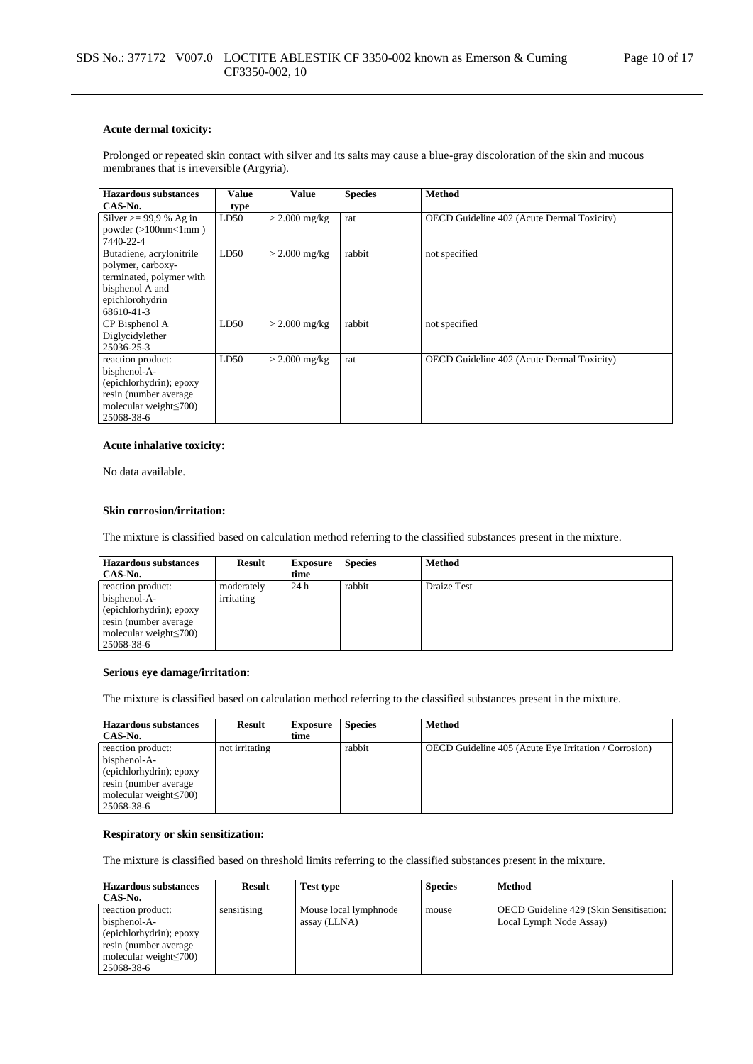#### **Acute dermal toxicity:**

Prolonged or repeated skin contact with silver and its salts may cause a blue-gray discoloration of the skin and mucous membranes that is irreversible (Argyria).

| Hazardous substances          | Value | <b>Value</b>    | <b>Species</b> | <b>Method</b>                                     |
|-------------------------------|-------|-----------------|----------------|---------------------------------------------------|
| CAS-No.                       | type  |                 |                |                                                   |
| Silver $\ge$ 99.9 % Ag in     | LD50  | $>$ 2.000 mg/kg | rat            | OECD Guideline 402 (Acute Dermal Toxicity)        |
| powder $(>100nm<1mm)$         |       |                 |                |                                                   |
| 7440-22-4                     |       |                 |                |                                                   |
| Butadiene, acrylonitrile      | LD50  | $>$ 2.000 mg/kg | rabbit         | not specified                                     |
| polymer, carboxy-             |       |                 |                |                                                   |
| terminated, polymer with      |       |                 |                |                                                   |
| bisphenol A and               |       |                 |                |                                                   |
| epichlorohydrin               |       |                 |                |                                                   |
| 68610-41-3                    |       |                 |                |                                                   |
| CP Bisphenol A                | LD50  | $>$ 2.000 mg/kg | rabbit         | not specified                                     |
| Diglycidylether               |       |                 |                |                                                   |
| 25036-25-3                    |       |                 |                |                                                   |
| reaction product:             | LD50  | $>$ 2.000 mg/kg | rat            | <b>OECD</b> Guideline 402 (Acute Dermal Toxicity) |
| bisphenol-A-                  |       |                 |                |                                                   |
| (epichlorhydrin); epoxy       |       |                 |                |                                                   |
| resin (number average         |       |                 |                |                                                   |
| molecular weight $\leq 700$ ) |       |                 |                |                                                   |
| 25068-38-6                    |       |                 |                |                                                   |

#### **Acute inhalative toxicity:**

No data available.

#### **Skin corrosion/irritation:**

The mixture is classified based on calculation method referring to the classified substances present in the mixture.

| <b>Hazardous substances</b><br>CAS-No.                                                                                               | Result                   | <b>Exposure</b><br>time | <b>Species</b> | <b>Method</b>      |
|--------------------------------------------------------------------------------------------------------------------------------------|--------------------------|-------------------------|----------------|--------------------|
| reaction product:<br>bisphenol-A-<br>(epichlorhydrin); epoxy<br>resin (number average<br>molecular weight $\leq 700$ )<br>25068-38-6 | moderately<br>irritating | 24 h                    | rabbit         | <b>Draize Test</b> |

#### **Serious eye damage/irritation:**

The mixture is classified based on calculation method referring to the classified substances present in the mixture.

| <b>Hazardous substances</b><br>CAS-No.                                                                                                | <b>Result</b>  | <b>Exposure</b><br>time | <b>Species</b> | Method                                                       |
|---------------------------------------------------------------------------------------------------------------------------------------|----------------|-------------------------|----------------|--------------------------------------------------------------|
| reaction product:<br>bisphenol-A-<br>(epichlorhydrin); epoxy<br>resin (number average)<br>molecular weight $\leq 700$ )<br>25068-38-6 | not irritating |                         | rabbit         | <b>OECD</b> Guideline 405 (Acute Eye Irritation / Corrosion) |

#### **Respiratory or skin sensitization:**

The mixture is classified based on threshold limits referring to the classified substances present in the mixture.

| <b>Hazardous substances</b><br>CAS-No.                                                                                               | <b>Result</b> | <b>Test type</b>                      | <b>Species</b> | Method                                                             |
|--------------------------------------------------------------------------------------------------------------------------------------|---------------|---------------------------------------|----------------|--------------------------------------------------------------------|
| reaction product:<br>bisphenol-A-<br>(epichlorhydrin); epoxy<br>resin (number average<br>molecular weight $\leq 700$ )<br>25068-38-6 | sensitising   | Mouse local lymphnode<br>assay (LLNA) | mouse          | OECD Guideline 429 (Skin Sensitisation:<br>Local Lymph Node Assay) |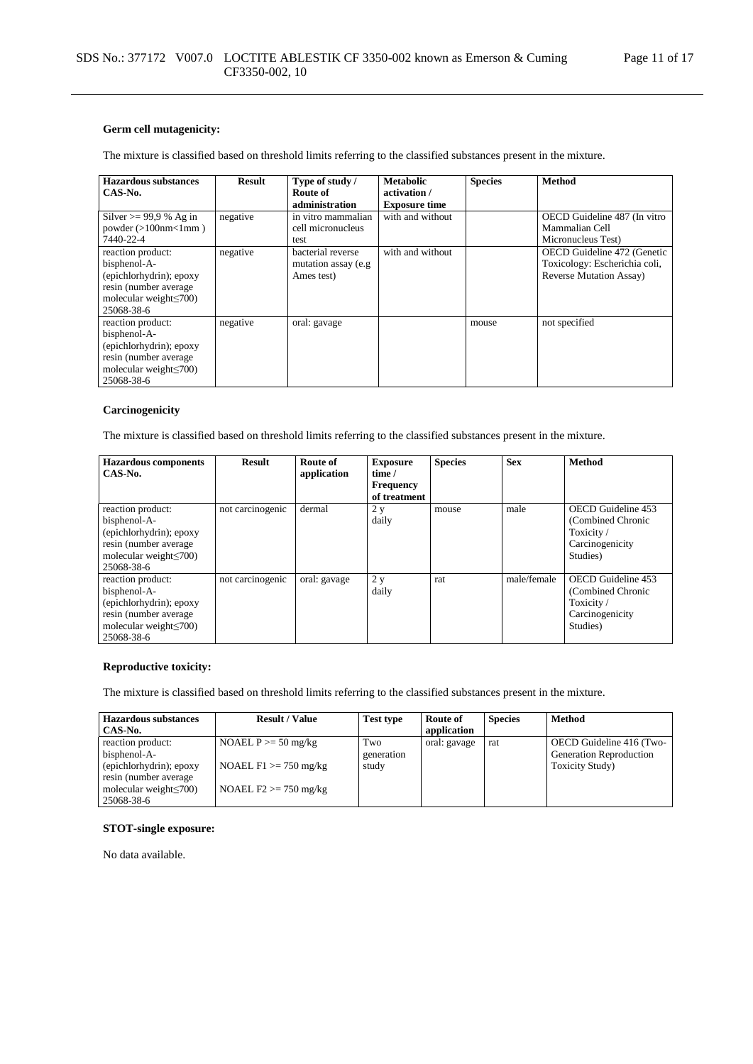## **Germ cell mutagenicity:**

The mixture is classified based on threshold limits referring to the classified substances present in the mixture.

| Hazardous substances<br>CAS-No.<br>Silver $\ge$ 99.9 % Ag in                                                                          | <b>Result</b><br>negative | Type of study /<br>Route of<br>administration<br>in vitro mammalian | <b>Metabolic</b><br>activation /<br><b>Exposure time</b><br>with and without | <b>Species</b> | <b>Method</b><br>OECD Guideline 487 (In vitro                                                   |
|---------------------------------------------------------------------------------------------------------------------------------------|---------------------------|---------------------------------------------------------------------|------------------------------------------------------------------------------|----------------|-------------------------------------------------------------------------------------------------|
| powder $(>100nm<1mm)$<br>7440-22-4                                                                                                    |                           | cell micronucleus<br>test                                           |                                                                              |                | Mammalian Cell<br>Micronucleus Test)                                                            |
| reaction product:<br>bisphenol-A-<br>(epichlorhydrin); epoxy<br>resin (number average<br>molecular weight $\leq 700$ )<br>25068-38-6  | negative                  | bacterial reverse<br>mutation assay (e.g.<br>Ames test)             | with and without                                                             |                | OECD Guideline 472 (Genetic<br>Toxicology: Escherichia coli,<br><b>Reverse Mutation Assay</b> ) |
| reaction product:<br>bisphenol-A-<br>(epichlorhydrin); epoxy<br>resin (number average)<br>molecular weight $\leq 700$ )<br>25068-38-6 | negative                  | oral: gavage                                                        |                                                                              | mouse          | not specified                                                                                   |

#### **Carcinogenicity**

The mixture is classified based on threshold limits referring to the classified substances present in the mixture.

| <b>Hazardous</b> components<br>CAS-No.                                                                                                | <b>Result</b>    | Route of<br>application | <b>Exposure</b><br>time /<br><b>Frequency</b><br>of treatment | <b>Species</b> | <b>Sex</b>  | Method                                                                              |
|---------------------------------------------------------------------------------------------------------------------------------------|------------------|-------------------------|---------------------------------------------------------------|----------------|-------------|-------------------------------------------------------------------------------------|
| reaction product:<br>bisphenol-A-<br>(epichlorhydrin); epoxy<br>resin (number average)<br>molecular weight $\leq 700$ )<br>25068-38-6 | not carcinogenic | dermal                  | 2 <sub>v</sub><br>daily                                       | mouse          | male        | OECD Guideline 453<br>(Combined Chronic<br>Toxicity/<br>Carcinogenicity<br>Studies) |
| reaction product:<br>bisphenol-A-<br>(epichlorhydrin); epoxy<br>resin (number average)<br>molecular weight $\leq$ 700)<br>25068-38-6  | not carcinogenic | oral: gavage            | 2y<br>daily                                                   | rat            | male/female | OECD Guideline 453<br>(Combined Chronic<br>Toxicity/<br>Carcinogenicity<br>Studies) |

#### **Reproductive toxicity:**

The mixture is classified based on threshold limits referring to the classified substances present in the mixture.

| <b>Hazardous substances</b><br>CAS-No.                                                                                               | <b>Result / Value</b>                                                          | <b>Test type</b>           | Route of<br>application | <b>Species</b> | Method                                                                                |
|--------------------------------------------------------------------------------------------------------------------------------------|--------------------------------------------------------------------------------|----------------------------|-------------------------|----------------|---------------------------------------------------------------------------------------|
| reaction product:<br>bisphenol-A-<br>(epichlorhydrin); epoxy<br>resin (number average<br>molecular weight $\leq 700$ )<br>25068-38-6 | NOAEL $P \ge 50$ mg/kg<br>NOAEL $F1 \ge 750$ mg/kg<br>NOAEL $F2 \ge 750$ mg/kg | Two<br>generation<br>study | oral: gavage            | rat            | OECD Guideline 416 (Two-<br><b>Generation Reproduction</b><br><b>Toxicity Study</b> ) |

### **STOT-single exposure:**

No data available.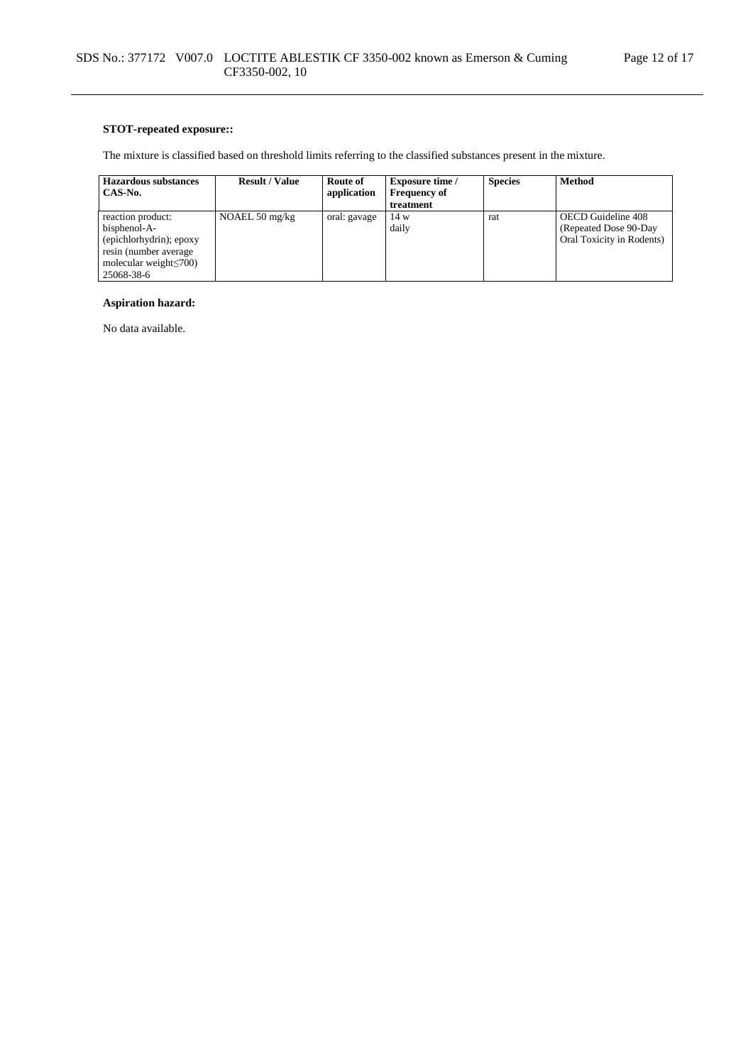# **STOT-repeated exposure::**

The mixture is classified based on threshold limits referring to the classified substances present in the mixture.

| <b>Hazardous substances</b><br>CAS-No.                                                                                                | <b>Result / Value</b>    | Route of<br>application | <b>Exposure time</b> /<br><b>Frequency of</b> | <b>Species</b> | <b>Method</b>                                                             |
|---------------------------------------------------------------------------------------------------------------------------------------|--------------------------|-------------------------|-----------------------------------------------|----------------|---------------------------------------------------------------------------|
|                                                                                                                                       |                          |                         | treatment                                     |                |                                                                           |
| reaction product:<br>bisphenol-A-<br>(epichlorhydrin); epoxy<br>resin (number average)<br>molecular weight $\leq 700$ )<br>25068-38-6 | NOAEL $50 \text{ mg/kg}$ | oral: gavage            | 14 w<br>daily                                 | rat            | OECD Guideline 408<br>(Repeated Dose 90-Day)<br>Oral Toxicity in Rodents) |

## **Aspiration hazard:**

No data available.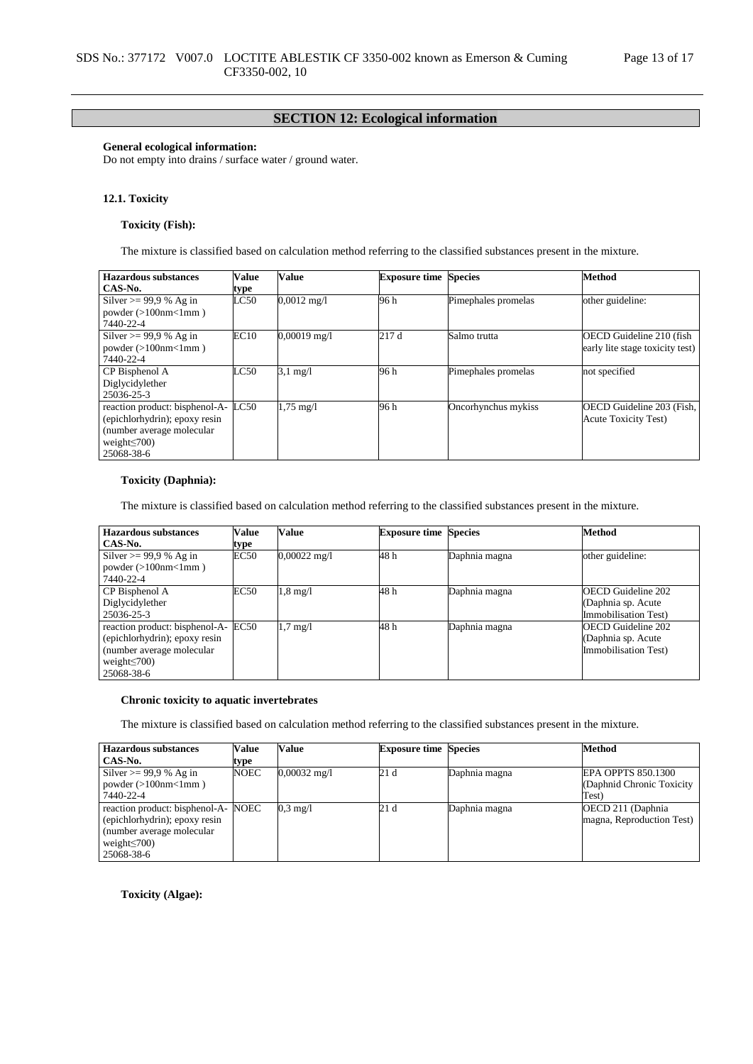# **SECTION 12: Ecological information**

## **General ecological information:**

Do not empty into drains / surface water / ground water.

#### **12.1. Toxicity**

#### **Toxicity (Fish):**

The mixture is classified based on calculation method referring to the classified substances present in the mixture.

| Hazardous substances           | Value | Value                 | <b>Exposure time Species</b> |                     | <b>Method</b>                   |
|--------------------------------|-------|-----------------------|------------------------------|---------------------|---------------------------------|
| CAS-No.                        | type  |                       |                              |                     |                                 |
| Silver $\ge$ 99.9 % Ag in      | LC50  | $0,0012 \text{ mg}/1$ | 96 h                         | Pimephales promelas | other guideline:                |
| powder $(>100$ nm $<1$ mm)     |       |                       |                              |                     |                                 |
| 7440-22-4                      |       |                       |                              |                     |                                 |
| Silver $\ge$ 99.9 % Ag in      | EC10  | $0,00019$ mg/l        | 217d                         | Salmo trutta        | OECD Guideline 210 (fish        |
| powder $(>100$ nm $<1$ mm)     |       |                       |                              |                     | early lite stage toxicity test) |
| 7440-22-4                      |       |                       |                              |                     |                                 |
| CP Bisphenol A                 | LC50  | $3.1 \text{ mg}/1$    | 96 h                         | Pimephales promelas | not specified                   |
| Diglycidylether                |       |                       |                              |                     |                                 |
| 25036-25-3                     |       |                       |                              |                     |                                 |
| reaction product: bisphenol-A- | LC50  | $1.75 \text{ mg}/1$   | 96 h                         | Oncorhynchus mykiss | OECD Guideline 203 (Fish,       |
| (epichlorhydrin); epoxy resin  |       |                       |                              |                     | <b>Acute Toxicity Test)</b>     |
| (number average molecular      |       |                       |                              |                     |                                 |
| weight $\leq$ 700)             |       |                       |                              |                     |                                 |
| 25068-38-6                     |       |                       |                              |                     |                                 |

## **Toxicity (Daphnia):**

The mixture is classified based on calculation method referring to the classified substances present in the mixture.

| <b>Hazardous substances</b>    | Value | Value                  | <b>Exposure time Species</b> |               | <b>Method</b>             |
|--------------------------------|-------|------------------------|------------------------------|---------------|---------------------------|
| CAS-No.                        | type  |                        |                              |               |                           |
| Silver $\ge$ 99.9 % Ag in      | EC50  | $0,00022 \text{ mg/l}$ | 48 h                         | Daphnia magna | other guideline:          |
| powder $(>100nm<1mm)$          |       |                        |                              |               |                           |
| 7440-22-4                      |       |                        |                              |               |                           |
| CP Bisphenol A                 | EC50  | $1,8 \text{ mg}/1$     | 48h                          | Daphnia magna | <b>OECD</b> Guideline 202 |
| Diglycidylether                |       |                        |                              |               | (Daphnia sp. Acute)       |
| 25036-25-3                     |       |                        |                              |               | Immobilisation Test)      |
| reaction product: bisphenol-A- | EC50  | $1.7 \text{ mg}/1$     | 48 h                         | Daphnia magna | <b>OECD</b> Guideline 202 |
| (epichlorhydrin); epoxy resin  |       |                        |                              |               | (Daphnia sp. Acute        |
| (number average molecular)     |       |                        |                              |               | Immobilisation Test)      |
| weight $\leq$ 700)             |       |                        |                              |               |                           |
| 25068-38-6                     |       |                        |                              |               |                           |

#### **Chronic toxicity to aquatic invertebrates**

The mixture is classified based on calculation method referring to the classified substances present in the mixture.

| <b>Hazardous substances</b>         | <b>Value</b> | Value                  | <b>Exposure time Species</b> |               | <b>Method</b>             |
|-------------------------------------|--------------|------------------------|------------------------------|---------------|---------------------------|
| CAS-No.                             | type         |                        |                              |               |                           |
| Silver $\ge$ 99.9 % Ag in           | <b>NOEC</b>  | $0,00032 \text{ mg/l}$ | 21 d                         | Daphnia magna | EPA OPPTS 850.1300        |
| powder $(>100nm<1mm)$               |              |                        |                              |               | (Daphnid Chronic Toxicity |
| 7440-22-4                           |              |                        |                              |               | Test)                     |
| reaction product: bisphenol-A- NOEC |              | $0.3 \text{ mg}/1$     | 21 d                         | Daphnia magna | OECD 211 (Daphnia)        |
| (epichlorhydrin); epoxy resin       |              |                        |                              |               | magna, Reproduction Test) |
| (number average molecular)          |              |                        |                              |               |                           |
| weight $\leq 700$ )                 |              |                        |                              |               |                           |
| 25068-38-6                          |              |                        |                              |               |                           |

**Toxicity (Algae):**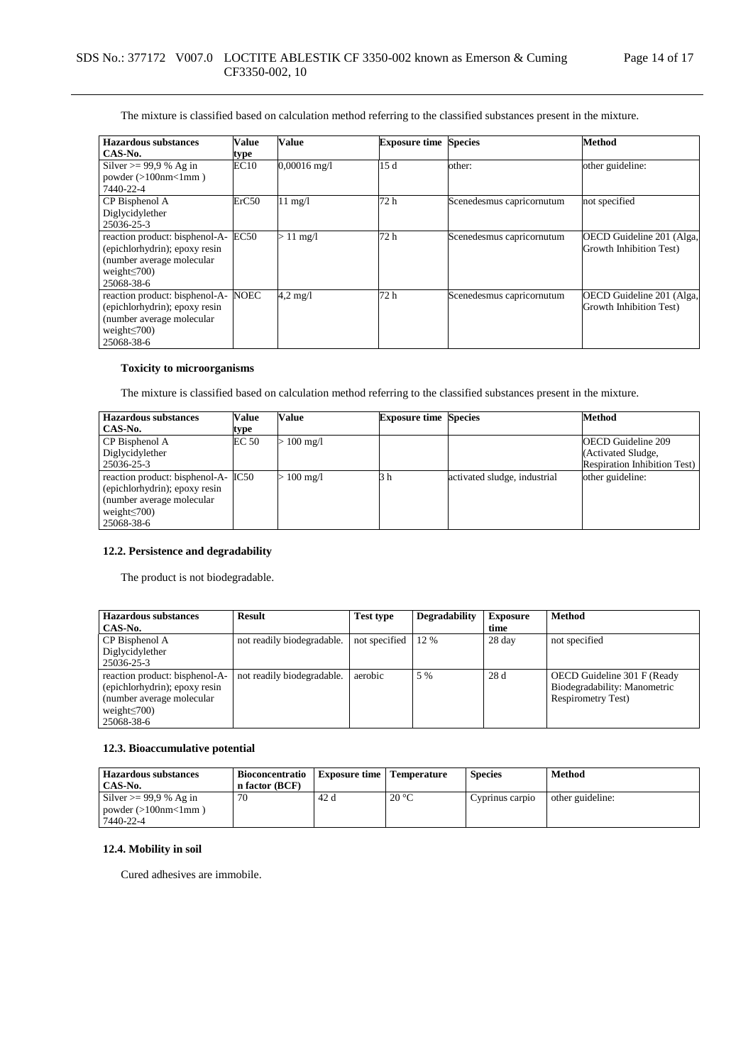The mixture is classified based on calculation method referring to the classified substances present in the mixture.

| Hazardous substances           | Value       | Value              | <b>Exposure time Species</b> |                           | <b>Method</b>             |
|--------------------------------|-------------|--------------------|------------------------------|---------------------------|---------------------------|
| CAS-No.                        | type        |                    |                              |                           |                           |
| Silver $\ge$ 99.9 % Ag in      | EC10        | $0,00016$ mg/l     | 15d                          | other:                    | other guideline:          |
| powder $(>100nm<1mm)$          |             |                    |                              |                           |                           |
| 7440-22-4                      |             |                    |                              |                           |                           |
| CP Bisphenol A                 | ErC50       | $11 \text{ mg}/1$  | 72 h                         | Scenedesmus capricornutum | not specified             |
| Diglycidylether                |             |                    |                              |                           |                           |
| 25036-25-3                     |             |                    |                              |                           |                           |
| reaction product: bisphenol-A- | EC50        | $> 11$ mg/l        | 72 h                         | Scenedesmus capricornutum | OECD Guideline 201 (Alga, |
| (epichlorhydrin); epoxy resin  |             |                    |                              |                           | Growth Inhibition Test)   |
| (number average molecular      |             |                    |                              |                           |                           |
| weight $\leq$ 700)             |             |                    |                              |                           |                           |
| 25068-38-6                     |             |                    |                              |                           |                           |
| reaction product: bisphenol-A- | <b>NOEC</b> | $4.2 \text{ mg}/1$ | 72 h                         | Scenedesmus capricornutum | OECD Guideline 201 (Alga, |
| (epichlorhydrin); epoxy resin  |             |                    |                              |                           | Growth Inhibition Test)   |
| (number average molecular      |             |                    |                              |                           |                           |
| weight $\leq$ 700)             |             |                    |                              |                           |                           |
| 25068-38-6                     |             |                    |                              |                           |                           |

## **Toxicity to microorganisms**

The mixture is classified based on calculation method referring to the classified substances present in the mixture.

| <b>Hazardous substances</b>         | Value        | <b>Value</b> | <b>Exposure time Species</b> |                              | <b>Method</b>                       |
|-------------------------------------|--------------|--------------|------------------------------|------------------------------|-------------------------------------|
| CAS-No.                             | type         |              |                              |                              |                                     |
| CP Bisphenol A                      | <b>EC 50</b> | $> 100$ mg/l |                              |                              | <b>OECD</b> Guideline 209           |
| Diglycidylether                     |              |              |                              |                              | (Activated Sludge,                  |
| 25036-25-3                          |              |              |                              |                              | <b>Respiration Inhibition Test)</b> |
| reaction product: bisphenol-A- IC50 |              | $> 100$ mg/l | 3 h                          | activated sludge, industrial | other guideline:                    |
| (epichlorhydrin); epoxy resin       |              |              |                              |                              |                                     |
| (number average molecular)          |              |              |                              |                              |                                     |
| weight $\leq 700$ )                 |              |              |                              |                              |                                     |
| 25068-38-6                          |              |              |                              |                              |                                     |

## **12.2. Persistence and degradability**

The product is not biodegradable.

| <b>Hazardous</b> substances    | <b>Result</b>              | <b>Test type</b> | <b>Degradability</b> | <b>Exposure</b> | <b>Method</b>                |
|--------------------------------|----------------------------|------------------|----------------------|-----------------|------------------------------|
| CAS-No.                        |                            |                  |                      | time            |                              |
| CP Bisphenol A                 | not readily biodegradable. | not specified    | 12 %                 | 28 day          | not specified                |
| Diglycidylether                |                            |                  |                      |                 |                              |
| 25036-25-3                     |                            |                  |                      |                 |                              |
| reaction product: bisphenol-A- | not readily biodegradable. | aerobic          | 5 %                  | 28 d            | OECD Guideline 301 F (Ready  |
| (epichlorhydrin); epoxy resin  |                            |                  |                      |                 | Biodegradability: Manometric |
| (number average molecular)     |                            |                  |                      |                 | <b>Respirometry Test)</b>    |
| weight $\leq$ 700)             |                            |                  |                      |                 |                              |
| 25068-38-6                     |                            |                  |                      |                 |                              |

### **12.3. Bioaccumulative potential**

| Hazardous substances<br>CAS-No.                                       | Bioconcentratio<br>n factor (BCF) | <b>Exposure time</b> Temperature |                | <b>Species</b>  | <b>Method</b>    |
|-----------------------------------------------------------------------|-----------------------------------|----------------------------------|----------------|-----------------|------------------|
| Silver $\geq$ 99.9 % Ag in<br>powder $(>100$ nm $<1$ mm)<br>7440-22-4 | 70                                | 42 d                             | $20^{\circ}$ C | Cyprinus carpio | other guideline: |

# **12.4. Mobility in soil**

Cured adhesives are immobile.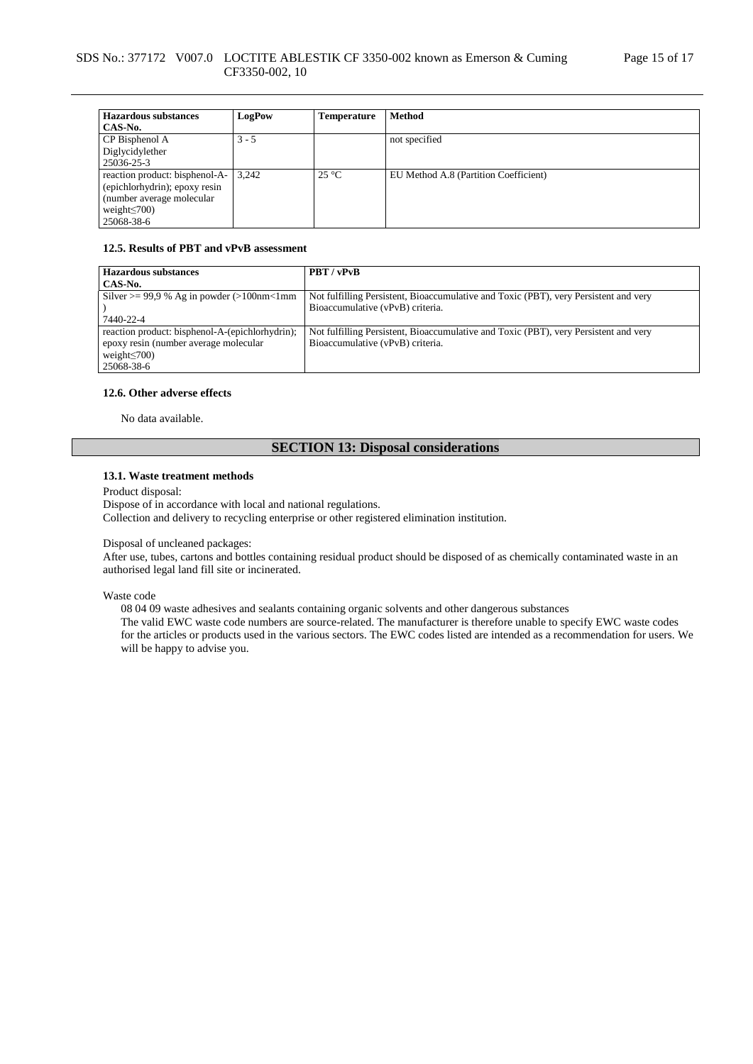## SDS No.: 377172 V007.0 LOCTITE ABLESTIK CF 3350-002 known as Emerson & Cuming CF3350-002, 10

| <b>Hazardous substances</b>    | LogPow  | <b>Temperature</b> | <b>Method</b>                         |
|--------------------------------|---------|--------------------|---------------------------------------|
| CAS-No.                        |         |                    |                                       |
| CP Bisphenol A                 | $3 - 5$ |                    | not specified                         |
| Diglycidylether                |         |                    |                                       |
| 25036-25-3                     |         |                    |                                       |
| reaction product: bisphenol-A- | 3,242   | $25^{\circ}$ C     | EU Method A.8 (Partition Coefficient) |
| (epichlorhydrin); epoxy resin  |         |                    |                                       |
| (number average molecular)     |         |                    |                                       |
| weight $\leq$ 700)             |         |                    |                                       |
| 25068-38-6                     |         |                    |                                       |

#### **12.5. Results of PBT and vPvB assessment**

| <b>Hazardous substances</b>                          | PBT/vPvB                                                                             |
|------------------------------------------------------|--------------------------------------------------------------------------------------|
| CAS-No.                                              |                                                                                      |
| Silver $> = 99.9$ % Ag in powder ( $>100$ nm $<1$ mm | Not fulfilling Persistent, Bioaccumulative and Toxic (PBT), very Persistent and very |
|                                                      | Bioaccumulative (vPvB) criteria.                                                     |
| 7440-22-4                                            |                                                                                      |
| reaction product: bisphenol-A-(epichlorhydrin);      | Not fulfilling Persistent, Bioaccumulative and Toxic (PBT), very Persistent and very |
| epoxy resin (number average molecular                | Bioaccumulative (vPvB) criteria.                                                     |
| weight $\leq$ 700)                                   |                                                                                      |
| 25068-38-6                                           |                                                                                      |

### **12.6. Other adverse effects**

No data available.

# **SECTION 13: Disposal considerations**

#### **13.1. Waste treatment methods**

Product disposal:

Dispose of in accordance with local and national regulations.

Collection and delivery to recycling enterprise or other registered elimination institution.

#### Disposal of uncleaned packages:

After use, tubes, cartons and bottles containing residual product should be disposed of as chemically contaminated waste in an authorised legal land fill site or incinerated.

Waste code

08 04 09 waste adhesives and sealants containing organic solvents and other dangerous substances The valid EWC waste code numbers are source-related. The manufacturer is therefore unable to specify EWC waste codes for the articles or products used in the various sectors. The EWC codes listed are intended as a recommendation for users. We will be happy to advise you.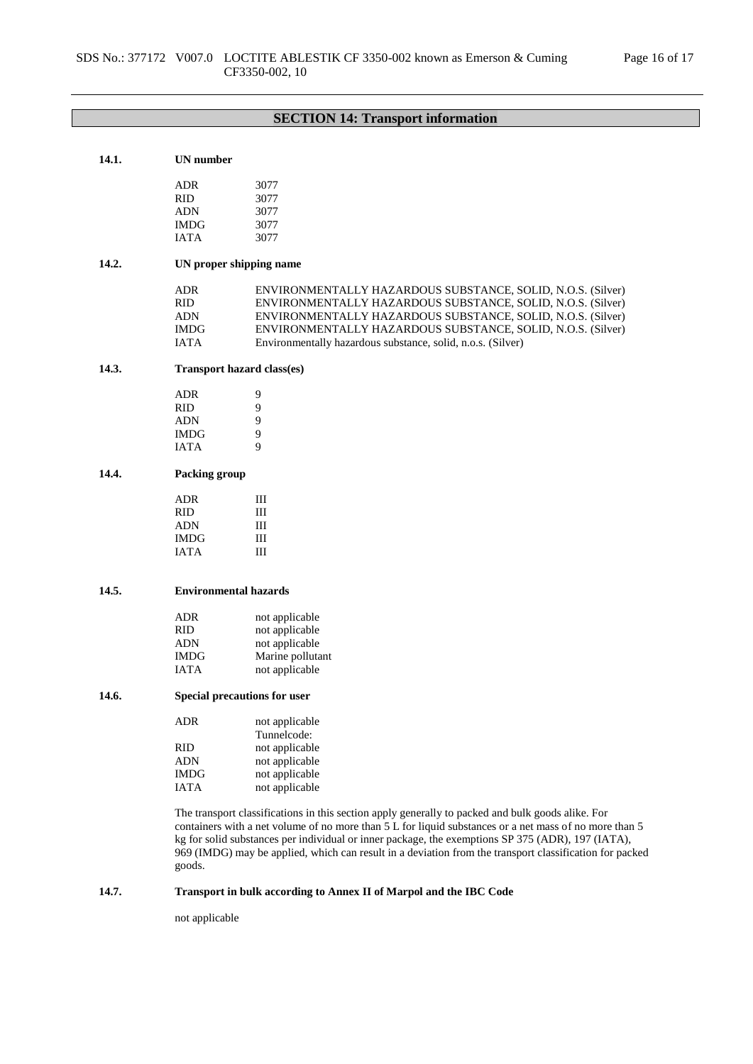# **SECTION 14: Transport information**

| ADR         | 3077 |
|-------------|------|
| RID         | 3077 |
| ADN         | 3077 |
| <b>IMDG</b> | 3077 |
| <b>JATA</b> | 3077 |

## **14.2. UN proper shipping name**

| ADR   | ENVIRONMENTALLY HAZARDOUS SUBSTANCE, SOLID, N.O.S. (Silver) |
|-------|-------------------------------------------------------------|
| RID.  | ENVIRONMENTALLY HAZARDOUS SUBSTANCE, SOLID, N.O.S. (Silver) |
| ADN   | ENVIRONMENTALLY HAZARDOUS SUBSTANCE, SOLID, N.O.S. (Silver) |
| IMDG. | ENVIRONMENTALLY HAZARDOUS SUBSTANCE, SOLID, N.O.S. (Silver) |
| IATA  | Environmentally hazardous substance, solid, n.o.s. (Silver) |

## **14.3. Transport hazard class(es)**

| 9 |
|---|
| q |
| 9 |
| 9 |
| q |
|   |

## **14.4. Packing group**

| ADR         | Ш |
|-------------|---|
| RID         | Ш |
| <b>ADN</b>  | Ш |
| <b>IMDG</b> | Ш |
| <b>IATA</b> | Ш |

# **14.5. Environmental hazards**

| <b>ADR</b>  | not applicable   |
|-------------|------------------|
| <b>RID</b>  | not applicable   |
| <b>ADN</b>  | not applicable   |
| <b>IMDG</b> | Marine pollutant |
| <b>IATA</b> | not applicable   |

## **14.6. Special precautions for user**

| <b>ADR</b>  | not applicable |
|-------------|----------------|
|             | Tunnelcode:    |
| <b>RID</b>  | not applicable |
| <b>ADN</b>  | not applicable |
| <b>IMDG</b> | not applicable |
| <b>JATA</b> | not applicable |

The transport classifications in this section apply generally to packed and bulk goods alike. For containers with a net volume of no more than 5 L for liquid substances or a net mass of no more than 5 kg for solid substances per individual or inner package, the exemptions SP 375 (ADR), 197 (IATA), 969 (IMDG) may be applied, which can result in a deviation from the transport classification for packed goods.

# **14.7. Transport in bulk according to Annex II of Marpol and the IBC Code**

not applicable